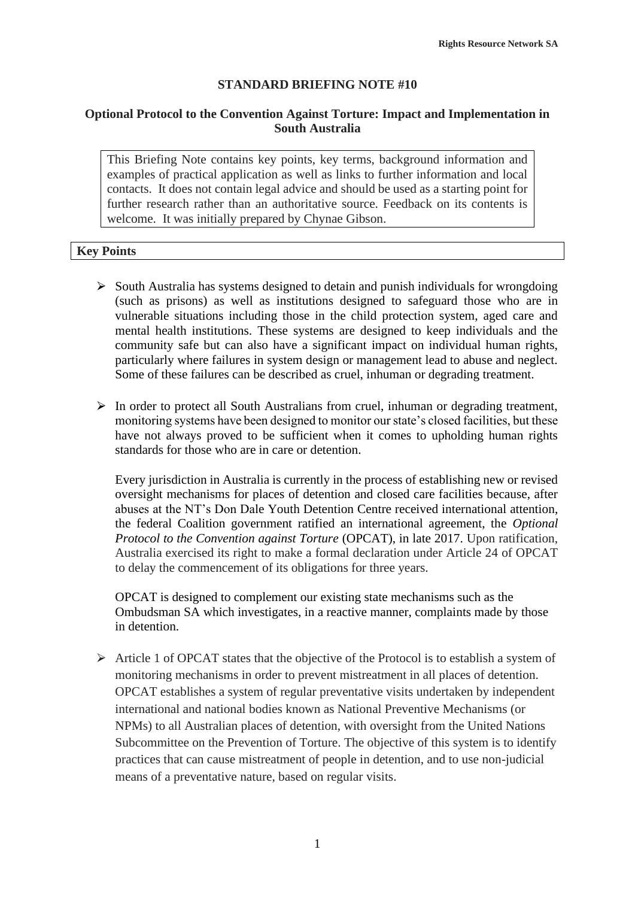## **STANDARD BRIEFING NOTE #10**

## **Optional Protocol to the Convention Against Torture: Impact and Implementation in South Australia**

This Briefing Note contains key points, key terms, background information and examples of practical application as well as links to further information and local contacts. It does not contain legal advice and should be used as a starting point for further research rather than an authoritative source. Feedback on its contents is welcome. It was initially prepared by Chynae Gibson.

### **Key Points**

- $\triangleright$  South Australia has systems designed to detain and punish individuals for wrongdoing (such as prisons) as well as institutions designed to safeguard those who are in vulnerable situations including those in the child protection system, aged care and mental health institutions. These systems are designed to keep individuals and the community safe but can also have a significant impact on individual human rights, particularly where failures in system design or management lead to abuse and neglect. Some of these failures can be described as cruel, inhuman or degrading treatment.
- $\triangleright$  In order to protect all South Australians from cruel, inhuman or degrading treatment, monitoring systems have been designed to monitor our state's closed facilities, but these have not always proved to be sufficient when it comes to upholding human rights standards for those who are in care or detention.

Every jurisdiction in Australia is currently in the process of establishing new or revised oversight mechanisms for places of detention and closed care facilities because, after abuses at the NT's Don Dale Youth Detention Centre received international attention, the federal Coalition government ratified an international agreement, the *Optional Protocol to the Convention against Torture* (OPCAT), in late 2017. Upon ratification, Australia exercised its right to make a formal declaration under Article 24 of OPCAT to delay the commencement of its obligations for three years.

OPCAT is designed to complement our existing state mechanisms such as the Ombudsman SA which investigates, in a reactive manner, complaints made by those in detention.

 $\triangleright$  Article 1 of OPCAT states that the objective of the Protocol is to establish a system of monitoring mechanisms in order to prevent mistreatment in all places of detention. OPCAT establishes a system of regular preventative visits undertaken by independent international and national bodies known as National Preventive Mechanisms (or NPMs) to all Australian places of detention, with oversight from the United Nations Subcommittee on the Prevention of Torture. The objective of this system is to identify practices that can cause mistreatment of people in detention, and to use non-judicial means of a preventative nature, based on regular visits.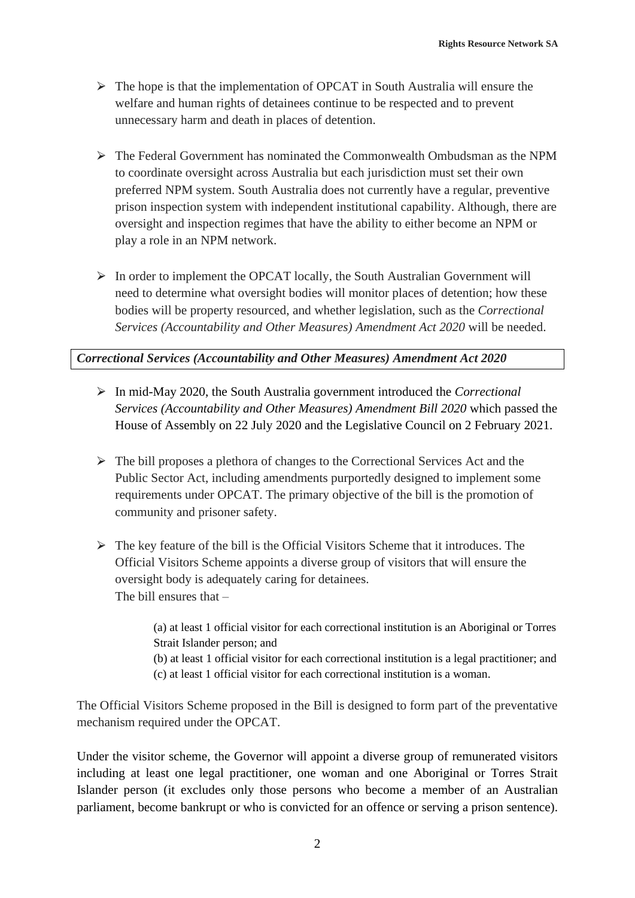- $\triangleright$  The hope is that the implementation of OPCAT in South Australia will ensure the welfare and human rights of detainees continue to be respected and to prevent unnecessary harm and death in places of detention.
- $\triangleright$  The Federal Government has nominated the Commonwealth Ombudsman as the NPM to coordinate oversight across Australia but each jurisdiction must set their own preferred NPM system. South Australia does not currently have a regular, preventive prison inspection system with independent institutional capability. Although, there are oversight and inspection regimes that have the ability to either become an NPM or play a role in an NPM network.
- $\triangleright$  In order to implement the OPCAT locally, the South Australian Government will need to determine what oversight bodies will monitor places of detention; how these bodies will be property resourced, and whether legislation, such as the *Correctional Services (Accountability and Other Measures) Amendment Act 2020* will be needed.

# *Correctional Services (Accountability and Other Measures) Amendment Act 2020*

- ⮚ In mid-May 2020, the South Australia government introduced the *Correctional Services (Accountability and Other Measures) Amendment Bill 2020* which passed the House of Assembly on 22 July 2020 and the Legislative Council on 2 February 2021.
- $\triangleright$  The bill proposes a plethora of changes to the Correctional Services Act and the Public Sector Act, including amendments purportedly designed to implement some requirements under OPCAT. The primary objective of the bill is the promotion of community and prisoner safety.
- $\triangleright$  The key feature of the bill is the Official Visitors Scheme that it introduces. The Official Visitors Scheme appoints a diverse group of visitors that will ensure the oversight body is adequately caring for detainees. The bill ensures that –

(a) at least 1 official visitor for each correctional institution is an Aboriginal or Torres Strait Islander person; and (b) at least 1 official visitor for each correctional institution is a legal practitioner; and (c) at least 1 official visitor for each correctional institution is a woman.

The Official Visitors Scheme proposed in the Bill is designed to form part of the preventative mechanism required under the OPCAT.

Under the visitor scheme, the Governor will appoint a diverse group of remunerated visitors including at least one legal practitioner, one woman and one Aboriginal or Torres Strait Islander person (it excludes only those persons who become a member of an Australian parliament, become bankrupt or who is convicted for an offence or serving a prison sentence).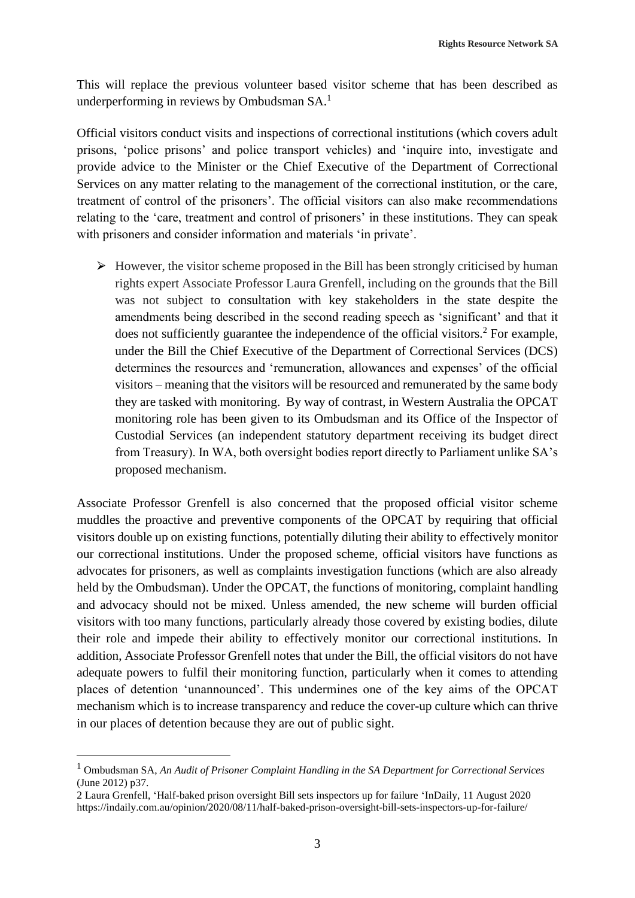This will replace the previous volunteer based visitor scheme that has been described as underperforming in reviews by Ombudsman SA.<sup>1</sup>

Official visitors conduct visits and inspections of correctional institutions (which covers adult prisons, 'police prisons' and police transport vehicles) and 'inquire into, investigate and provide advice to the Minister or the Chief Executive of the Department of Correctional Services on any matter relating to the management of the correctional institution, or the care, treatment of control of the prisoners'. The official visitors can also make recommendations relating to the 'care, treatment and control of prisoners' in these institutions. They can speak with prisoners and consider information and materials 'in private'.

 $\triangleright$  However, the visitor scheme proposed in the Bill has been strongly criticised by human rights expert Associate Professor Laura Grenfell, including on the grounds that the Bill was not subject to consultation with key stakeholders in the state despite the amendments being described in the second reading speech as 'significant' and that it does not sufficiently guarantee the independence of the official visitors.<sup>2</sup> For example, under the Bill the Chief Executive of the Department of Correctional Services (DCS) determines the resources and 'remuneration, allowances and expenses' of the official visitors – meaning that the visitors will be resourced and remunerated by the same body they are tasked with monitoring. By way of contrast, in Western Australia the OPCAT monitoring role has been given to its Ombudsman and its Office of the Inspector of Custodial Services (an independent statutory department receiving its budget direct from Treasury). In WA, both oversight bodies report directly to Parliament unlike SA's proposed mechanism.

Associate Professor Grenfell is also concerned that the proposed official visitor scheme muddles the proactive and preventive components of the OPCAT by requiring that official visitors double up on existing functions, potentially diluting their ability to effectively monitor our correctional institutions. Under the proposed scheme, official visitors have functions as advocates for prisoners, as well as complaints investigation functions (which are also already held by the Ombudsman). Under the OPCAT, the functions of monitoring, complaint handling and advocacy should not be mixed. Unless amended, the new scheme will burden official visitors with too many functions, particularly already those covered by existing bodies, dilute their role and impede their ability to effectively monitor our correctional institutions. In addition, Associate Professor Grenfell notes that under the Bill, the official visitors do not have adequate powers to fulfil their monitoring function, particularly when it comes to attending places of detention 'unannounced'. This undermines one of the key aims of the OPCAT mechanism which is to increase transparency and reduce the cover-up culture which can thrive in our places of detention because they are out of public sight.

<sup>1</sup> Ombudsman SA, *An Audit of Prisoner Complaint Handling in the SA Department for Correctional Services* (June 2012) p37.

<sup>2</sup> Laura Grenfell, 'Half-baked prison oversight Bill sets inspectors up for failure 'InDaily, 11 August 2020 https://indaily.com.au/opinion/2020/08/11/half-baked-prison-oversight-bill-sets-inspectors-up-for-failure/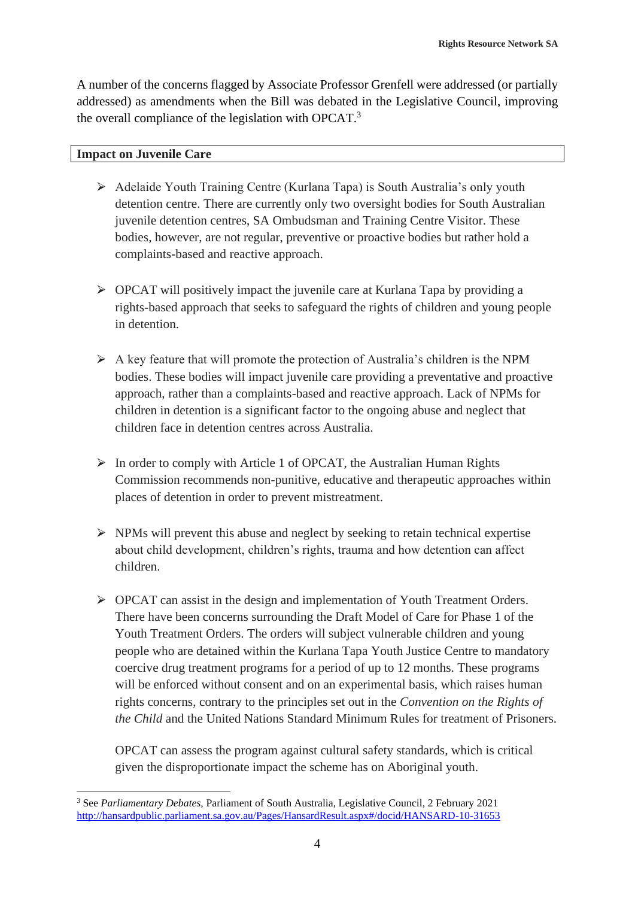A number of the concerns flagged by Associate Professor Grenfell were addressed (or partially addressed) as amendments when the Bill was debated in the Legislative Council, improving the overall compliance of the legislation with OPCAT.<sup>3</sup>

#### **Impact on Juvenile Care**

- ⮚ Adelaide Youth Training Centre (Kurlana Tapa) is South Australia's only youth detention centre. There are currently only two oversight bodies for South Australian juvenile detention centres, SA Ombudsman and Training Centre Visitor. These bodies, however, are not regular, preventive or proactive bodies but rather hold a complaints-based and reactive approach.
- $\triangleright$  OPCAT will positively impact the juvenile care at Kurlana Tapa by providing a rights-based approach that seeks to safeguard the rights of children and young people in detention.
- $\triangleright$  A key feature that will promote the protection of Australia's children is the NPM bodies. These bodies will impact juvenile care providing a preventative and proactive approach, rather than a complaints-based and reactive approach. Lack of NPMs for children in detention is a significant factor to the ongoing abuse and neglect that children face in detention centres across Australia.
- $\triangleright$  In order to comply with Article 1 of OPCAT, the Australian Human Rights Commission recommends non-punitive, educative and therapeutic approaches within places of detention in order to prevent mistreatment.
- $\triangleright$  NPMs will prevent this abuse and neglect by seeking to retain technical expertise about child development, children's rights, trauma and how detention can affect children.
- ⮚ OPCAT can assist in the design and implementation of Youth Treatment Orders. There have been concerns surrounding the Draft Model of Care for Phase 1 of the Youth Treatment Orders. The orders will subject vulnerable children and young people who are detained within the Kurlana Tapa Youth Justice Centre to mandatory coercive drug treatment programs for a period of up to 12 months. These programs will be enforced without consent and on an experimental basis, which raises human rights concerns, contrary to the principles set out in the *Convention on the Rights of the Child* and the United Nations Standard Minimum Rules for treatment of Prisoners.

OPCAT can assess the program against cultural safety standards, which is critical given the disproportionate impact the scheme has on Aboriginal youth.

<sup>3</sup> See *Parliamentary Debates,* Parliament of South Australia, Legislative Council, 2 February 2021 <http://hansardpublic.parliament.sa.gov.au/Pages/HansardResult.aspx#/docid/HANSARD-10-31653>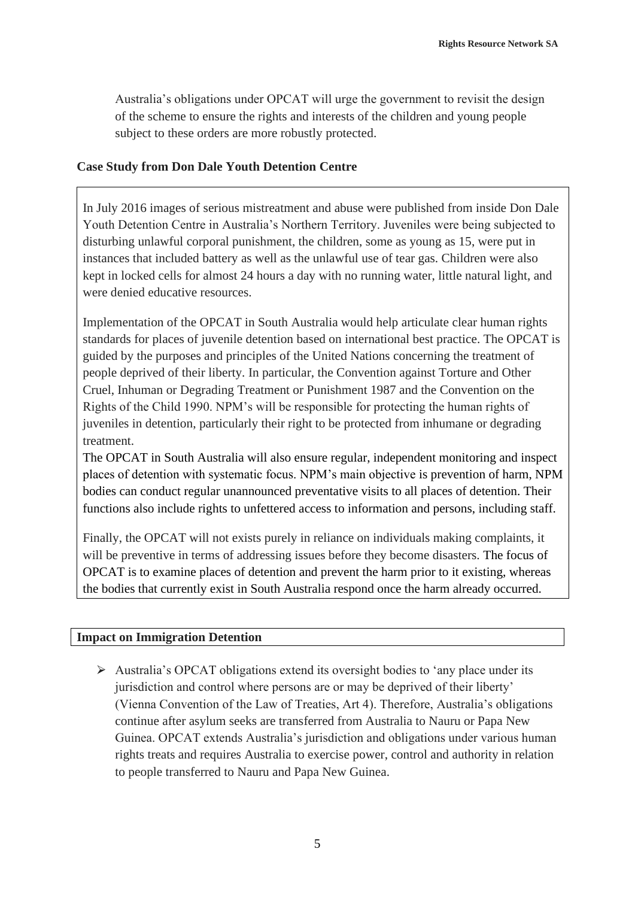Australia's obligations under OPCAT will urge the government to revisit the design of the scheme to ensure the rights and interests of the children and young people subject to these orders are more robustly protected.

## **Case Study from Don Dale Youth Detention Centre**

In July 2016 images of serious mistreatment and abuse were published from inside Don Dale Youth Detention Centre in Australia's Northern Territory. Juveniles were being subjected to disturbing unlawful corporal punishment, the children, some as young as 15, were put in instances that included battery as well as the unlawful use of tear gas. Children were also kept in locked cells for almost 24 hours a day with no running water, little natural light, and were denied educative resources.

Implementation of the OPCAT in South Australia would help articulate clear human rights standards for places of juvenile detention based on international best practice. The OPCAT is guided by the purposes and principles of the United Nations concerning the treatment of people deprived of their liberty. In particular, the Convention against Torture and Other Cruel, Inhuman or Degrading Treatment or Punishment 1987 and the Convention on the Rights of the Child 1990. NPM's will be responsible for protecting the human rights of juveniles in detention, particularly their right to be protected from inhumane or degrading treatment.

The OPCAT in South Australia will also ensure regular, independent monitoring and inspect places of detention with systematic focus. NPM's main objective is prevention of harm, NPM bodies can conduct regular unannounced preventative visits to all places of detention. Their functions also include rights to unfettered access to information and persons, including staff.

Finally, the OPCAT will not exists purely in reliance on individuals making complaints, it will be preventive in terms of addressing issues before they become disasters. The focus of OPCAT is to examine places of detention and prevent the harm prior to it existing, whereas the bodies that currently exist in South Australia respond once the harm already occurred.

# **Impact on Immigration Detention**

 $\triangleright$  Australia's OPCAT obligations extend its oversight bodies to 'any place under its jurisdiction and control where persons are or may be deprived of their liberty' (Vienna Convention of the Law of Treaties, Art 4). Therefore, Australia's obligations continue after asylum seeks are transferred from Australia to Nauru or Papa New Guinea. OPCAT extends Australia's jurisdiction and obligations under various human rights treats and requires Australia to exercise power, control and authority in relation to people transferred to Nauru and Papa New Guinea.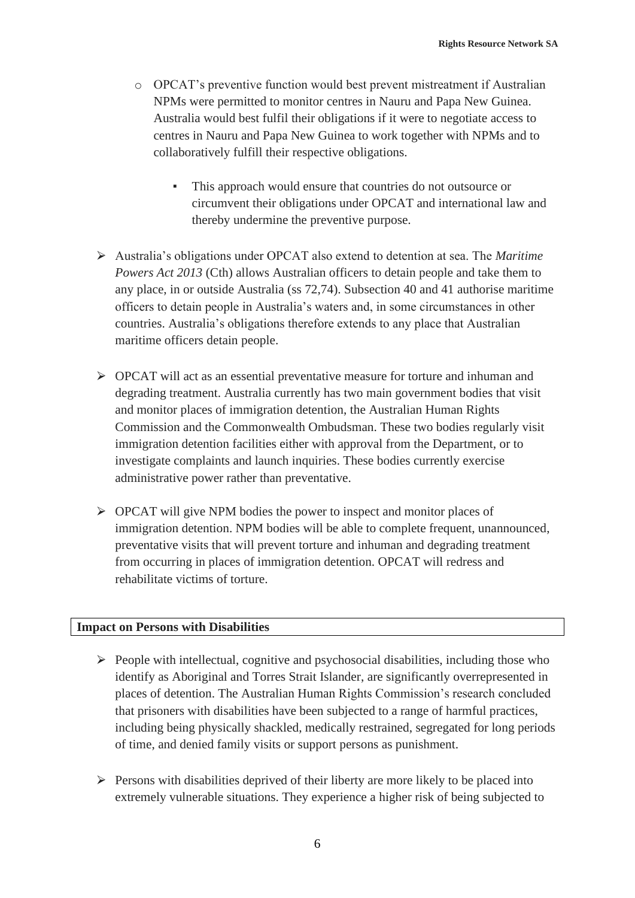- o OPCAT's preventive function would best prevent mistreatment if Australian NPMs were permitted to monitor centres in Nauru and Papa New Guinea. Australia would best fulfil their obligations if it were to negotiate access to centres in Nauru and Papa New Guinea to work together with NPMs and to collaboratively fulfill their respective obligations.
	- This approach would ensure that countries do not outsource or circumvent their obligations under OPCAT and international law and thereby undermine the preventive purpose.
- ⮚ Australia's obligations under OPCAT also extend to detention at sea. The *Maritime Powers Act 2013* (Cth) allows Australian officers to detain people and take them to any place, in or outside Australia (ss 72,74). Subsection 40 and 41 authorise maritime officers to detain people in Australia's waters and, in some circumstances in other countries. Australia's obligations therefore extends to any place that Australian maritime officers detain people.
- $\triangleright$  OPCAT will act as an essential preventative measure for torture and inhuman and degrading treatment. Australia currently has two main government bodies that visit and monitor places of immigration detention, the Australian Human Rights Commission and the Commonwealth Ombudsman. These two bodies regularly visit immigration detention facilities either with approval from the Department, or to investigate complaints and launch inquiries. These bodies currently exercise administrative power rather than preventative.
- $\triangleright$  OPCAT will give NPM bodies the power to inspect and monitor places of immigration detention. NPM bodies will be able to complete frequent, unannounced, preventative visits that will prevent torture and inhuman and degrading treatment from occurring in places of immigration detention. OPCAT will redress and rehabilitate victims of torture.

# **Impact on Persons with Disabilities**

- $\triangleright$  People with intellectual, cognitive and psychosocial disabilities, including those who identify as Aboriginal and Torres Strait Islander, are significantly overrepresented in places of detention. The Australian Human Rights Commission's research concluded that prisoners with disabilities have been subjected to a range of harmful practices, including being physically shackled, medically restrained, segregated for long periods of time, and denied family visits or support persons as punishment.
- $\triangleright$  Persons with disabilities deprived of their liberty are more likely to be placed into extremely vulnerable situations. They experience a higher risk of being subjected to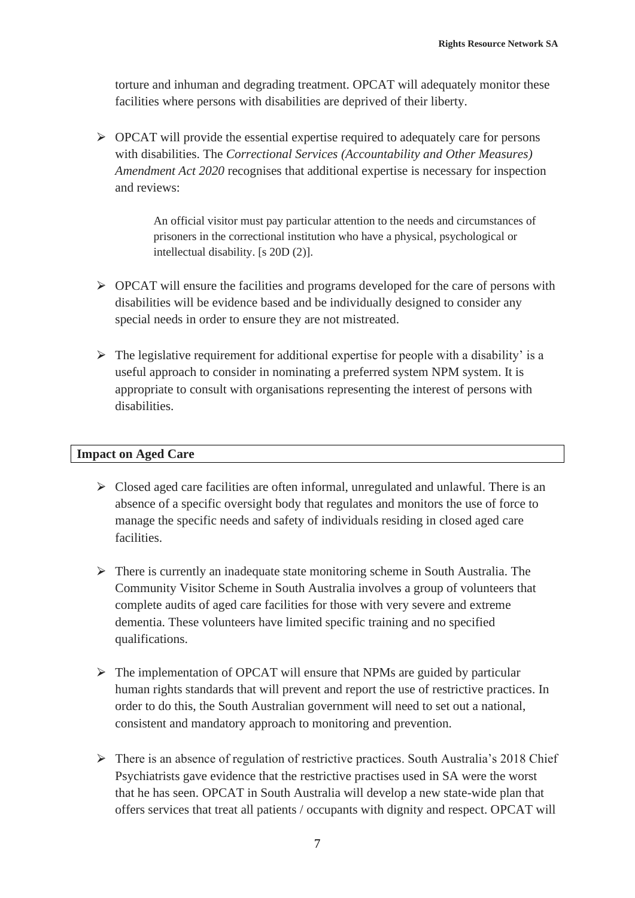torture and inhuman and degrading treatment. OPCAT will adequately monitor these facilities where persons with disabilities are deprived of their liberty.

 $\triangleright$  OPCAT will provide the essential expertise required to adequately care for persons with disabilities. The *Correctional Services (Accountability and Other Measures) Amendment Act 2020* recognises that additional expertise is necessary for inspection and reviews:

> An official visitor must pay particular attention to the needs and circumstances of prisoners in the correctional institution who have a physical, psychological or intellectual disability. [s 20D (2)].

- $\triangleright$  OPCAT will ensure the facilities and programs developed for the care of persons with disabilities will be evidence based and be individually designed to consider any special needs in order to ensure they are not mistreated.
- $\triangleright$  The legislative requirement for additional expertise for people with a disability' is a useful approach to consider in nominating a preferred system NPM system. It is appropriate to consult with organisations representing the interest of persons with disabilities.

### **Impact on Aged Care**

- $\triangleright$  Closed aged care facilities are often informal, unregulated and unlawful. There is an absence of a specific oversight body that regulates and monitors the use of force to manage the specific needs and safety of individuals residing in closed aged care facilities.
- $\triangleright$  There is currently an inadequate state monitoring scheme in South Australia. The Community Visitor Scheme in South Australia involves a group of volunteers that complete audits of aged care facilities for those with very severe and extreme dementia. These volunteers have limited specific training and no specified qualifications.
- $\triangleright$  The implementation of OPCAT will ensure that NPMs are guided by particular human rights standards that will prevent and report the use of restrictive practices. In order to do this, the South Australian government will need to set out a national, consistent and mandatory approach to monitoring and prevention.
- $\triangleright$  There is an absence of regulation of restrictive practices. South Australia's 2018 Chief Psychiatrists gave evidence that the restrictive practises used in SA were the worst that he has seen. OPCAT in South Australia will develop a new state-wide plan that offers services that treat all patients / occupants with dignity and respect. OPCAT will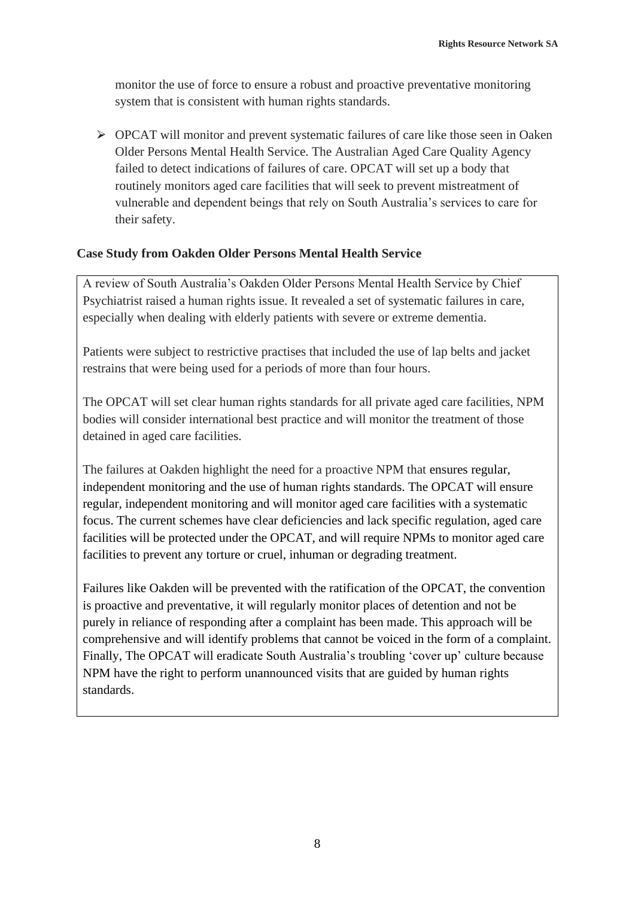monitor the use of force to ensure a robust and proactive preventative monitoring system that is consistent with human rights standards.

 $\triangleright$  OPCAT will monitor and prevent systematic failures of care like those seen in Oaken Older Persons Mental Health Service. The Australian Aged Care Quality Agency failed to detect indications of failures of care. OPCAT will set up a body that routinely monitors aged care facilities that will seek to prevent mistreatment of vulnerable and dependent beings that rely on South Australia's services to care for their safety.

## **Case Study from Oakden Older Persons Mental Health Service**

A review of South Australia's Oakden Older Persons Mental Health Service by Chief Psychiatrist raised a human rights issue. It revealed a set of systematic failures in care, especially when dealing with elderly patients with severe or extreme dementia.

Patients were subject to restrictive practises that included the use of lap belts and jacket restrains that were being used for a periods of more than four hours.

The OPCAT will set clear human rights standards for all private aged care facilities, NPM bodies will consider international best practice and will monitor the treatment of those detained in aged care facilities.

The failures at Oakden highlight the need for a proactive NPM that ensures regular, independent monitoring and the use of human rights standards. The OPCAT will ensure regular, independent monitoring and will monitor aged care facilities with a systematic focus. The current schemes have clear deficiencies and lack specific regulation, aged care facilities will be protected under the OPCAT, and will require NPMs to monitor aged care facilities to prevent any torture or cruel, inhuman or degrading treatment.

Failures like Oakden will be prevented with the ratification of the OPCAT, the convention is proactive and preventative, it will regularly monitor places of detention and not be purely in reliance of responding after a complaint has been made. This approach will be comprehensive and will identify problems that cannot be voiced in the form of a complaint. Finally, The OPCAT will eradicate South Australia's troubling 'cover up' culture because NPM have the right to perform unannounced visits that are guided by human rights standards.